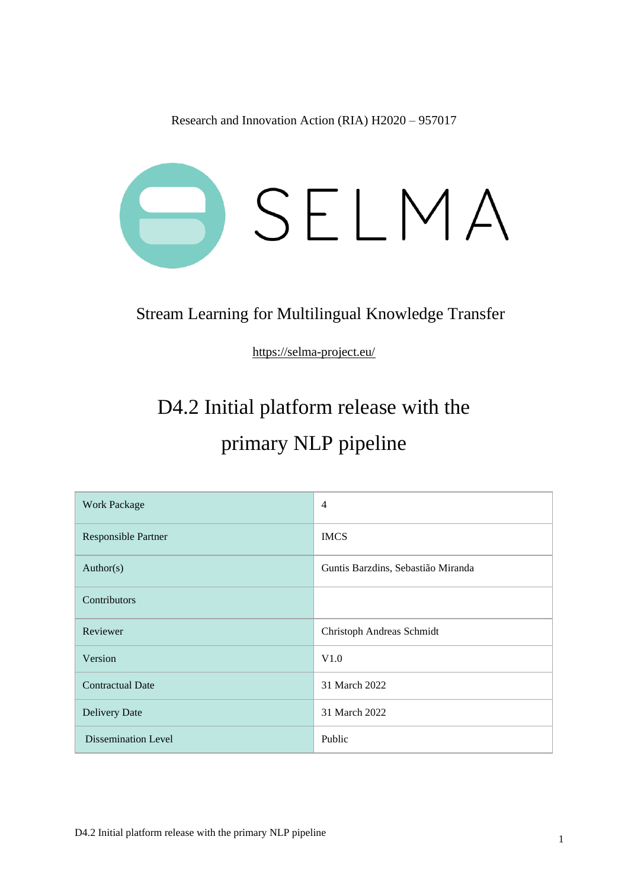Research and Innovation Action (RIA) H2020 – 957017



#### Stream Learning for Multilingual Knowledge Transfer

<https://selma-project.eu/>

## D4.2 Initial platform release with the primary NLP pipeline

| <b>Work Package</b>        | $\overline{4}$                     |
|----------------------------|------------------------------------|
| Responsible Partner        | <b>IMCS</b>                        |
| Author(s)                  | Guntis Barzdins, Sebastião Miranda |
| Contributors               |                                    |
| Reviewer                   | Christoph Andreas Schmidt          |
| Version                    | V1.0                               |
| <b>Contractual Date</b>    | 31 March 2022                      |
| <b>Delivery Date</b>       | 31 March 2022                      |
| <b>Dissemination Level</b> | Public                             |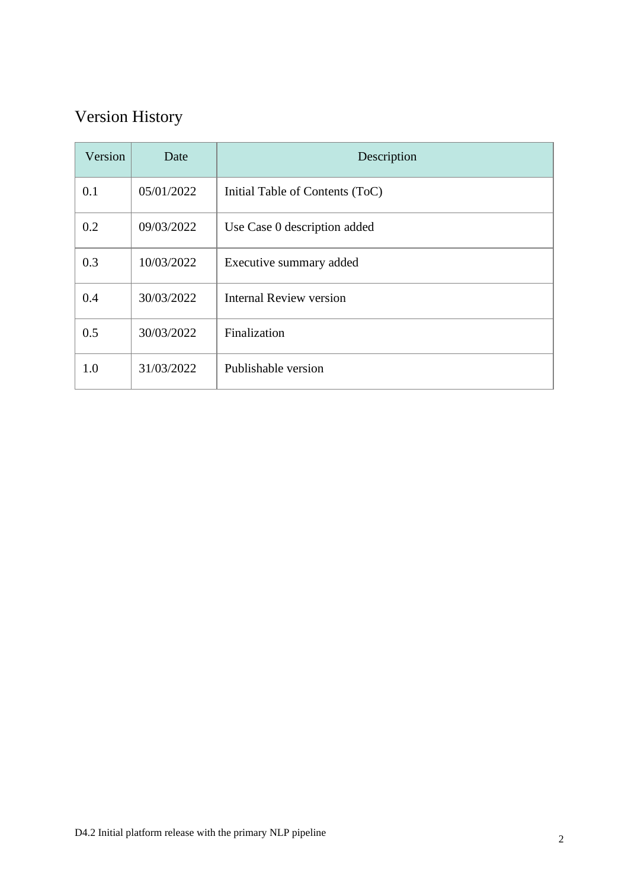### Version History

| Version | Date       | Description                     |
|---------|------------|---------------------------------|
| 0.1     | 05/01/2022 | Initial Table of Contents (ToC) |
| 0.2     | 09/03/2022 | Use Case 0 description added    |
| 0.3     | 10/03/2022 | Executive summary added         |
| 0.4     | 30/03/2022 | <b>Internal Review version</b>  |
| 0.5     | 30/03/2022 | Finalization                    |
| 1.0     | 31/03/2022 | Publishable version             |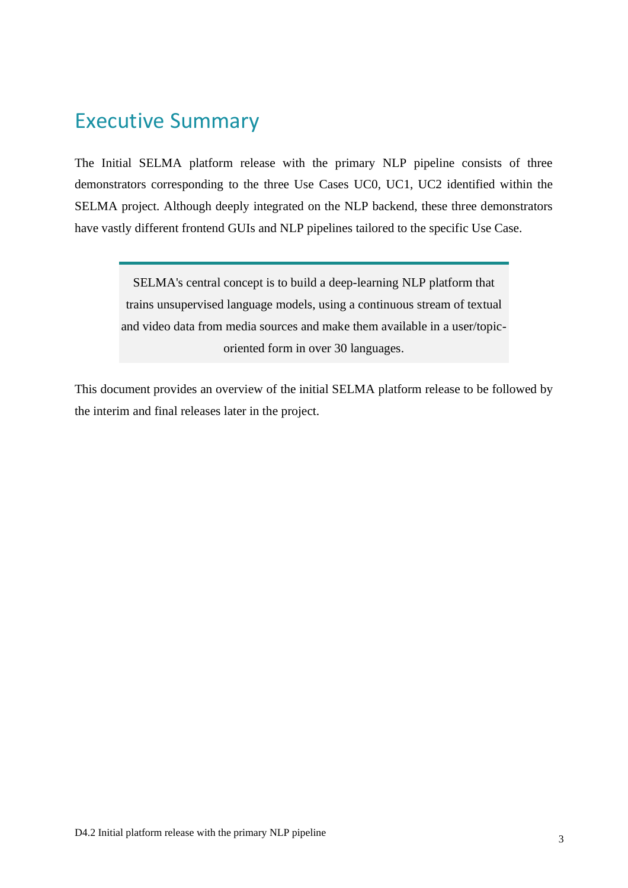#### <span id="page-2-0"></span>Executive Summary

The Initial SELMA platform release with the primary NLP pipeline consists of three demonstrators corresponding to the three Use Cases UC0, UC1, UC2 identified within the SELMA project. Although deeply integrated on the NLP backend, these three demonstrators have vastly different frontend GUIs and NLP pipelines tailored to the specific Use Case.

SELMA's central concept is to build a deep-learning NLP platform that trains unsupervised language models, using a continuous stream of textual and video data from media sources and make them available in a user/topicoriented form in over 30 languages.

This document provides an overview of the initial SELMA platform release to be followed by the interim and final releases later in the project.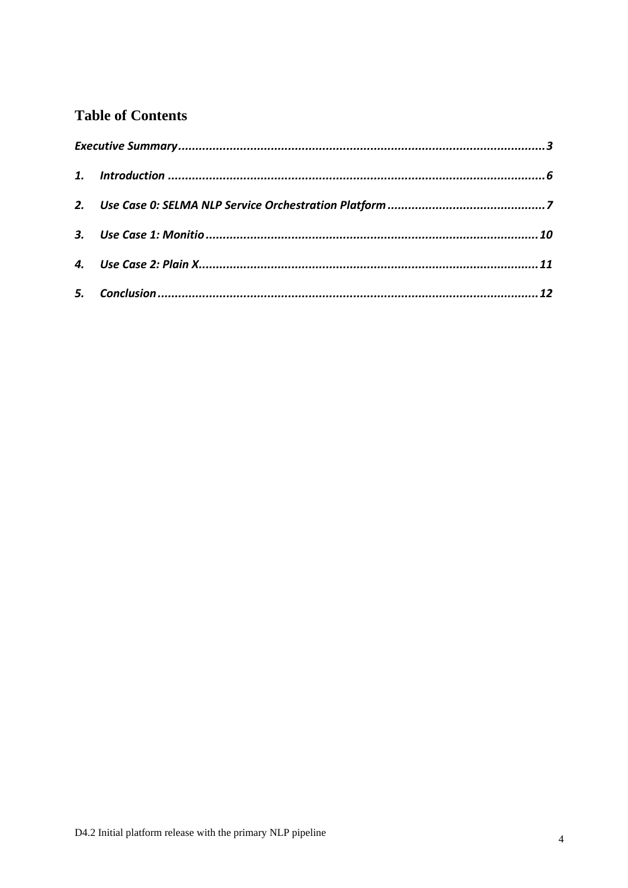#### **Table of Contents**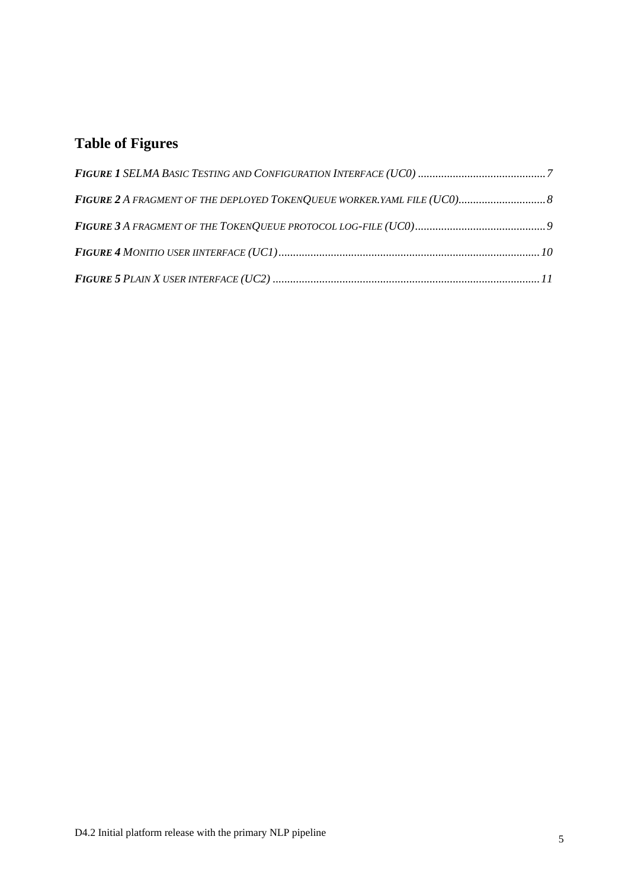#### **Table of Figures**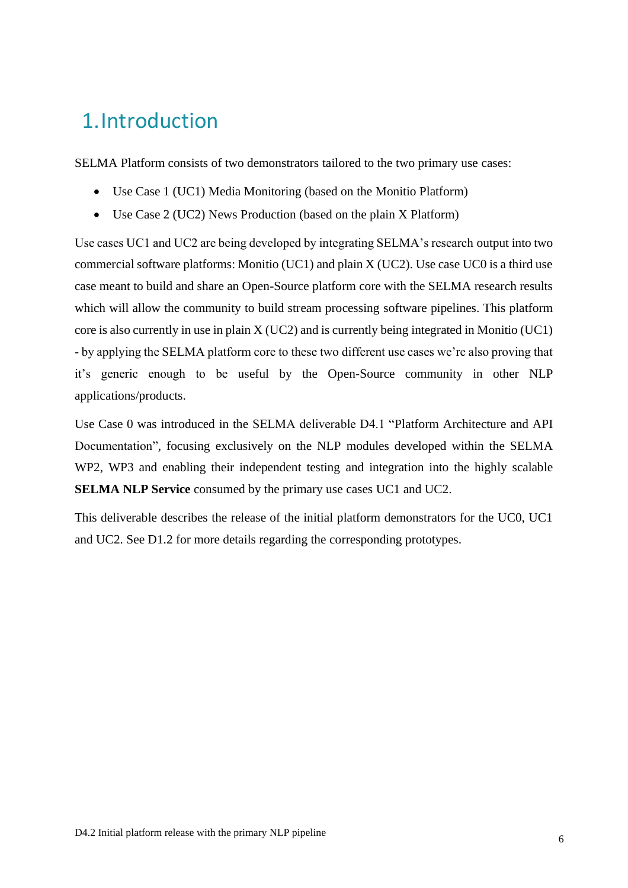## <span id="page-5-0"></span>1.Introduction

SELMA Platform consists of two demonstrators tailored to the two primary use cases:

- Use Case 1 (UC1) Media Monitoring (based on the Monitio Platform)
- Use Case 2 (UC2) News Production (based on the plain X Platform)

Use cases UC1 and UC2 are being developed by integrating SELMA's research output into two commercial software platforms: Monitio (UC1) and plain X (UC2). Use case UC0 is a third use case meant to build and share an Open-Source platform core with the SELMA research results which will allow the community to build stream processing software pipelines. This platform core is also currently in use in plain X (UC2) and is currently being integrated in Monitio (UC1) - by applying the SELMA platform core to these two different use cases we're also proving that it's generic enough to be useful by the Open-Source community in other NLP applications/products.

Use Case 0 was introduced in the SELMA deliverable D4.1 "Platform Architecture and API Documentation", focusing exclusively on the NLP modules developed within the SELMA WP2, WP3 and enabling their independent testing and integration into the highly scalable **SELMA NLP Service** consumed by the primary use cases UC1 and UC2.

This deliverable describes the release of the initial platform demonstrators for the UC0, UC1 and UC2. See D1.2 for more details regarding the corresponding prototypes.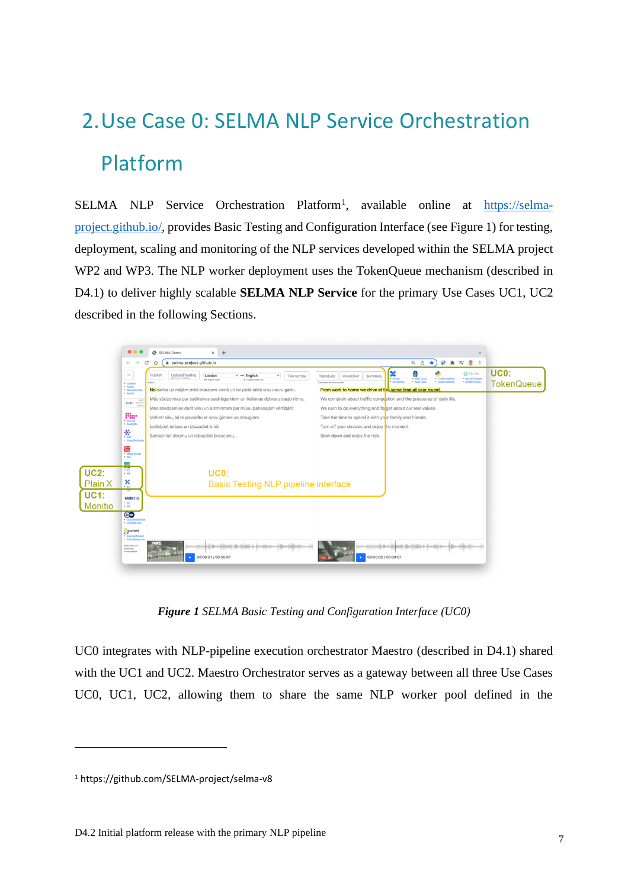# <span id="page-6-0"></span>2.Use Case 0: SELMA NLP Service Orchestration Platform

SELMA NLP Service Orchestration Platform<sup>1</sup>, available online at [https://selma](https://selma-project.github.io/)[project.github.io/,](https://selma-project.github.io/) provides Basic Testing and Configuration Interface (see Figure 1) for testing, deployment, scaling and monitoring of the NLP services developed within the SELMA project WP2 and WP3. The NLP worker deployment uses the TokenQueue mechanism (described in D4.1) to deliver highly scalable **SELMA NLP Service** for the primary Use Cases UC1, UC2 described in the following Sections.



*Figure 1 SELMA Basic Testing and Configuration Interface (UC0)*

<span id="page-6-1"></span>UC0 integrates with NLP-pipeline execution orchestrator Maestro (described in D4.1) shared with the UC1 and UC2. Maestro Orchestrator serves as a gateway between all three Use Cases UC0, UC1, UC2, allowing them to share the same NLP worker pool defined in the

<sup>1</sup> https://github.com/SELMA-project/selma-v8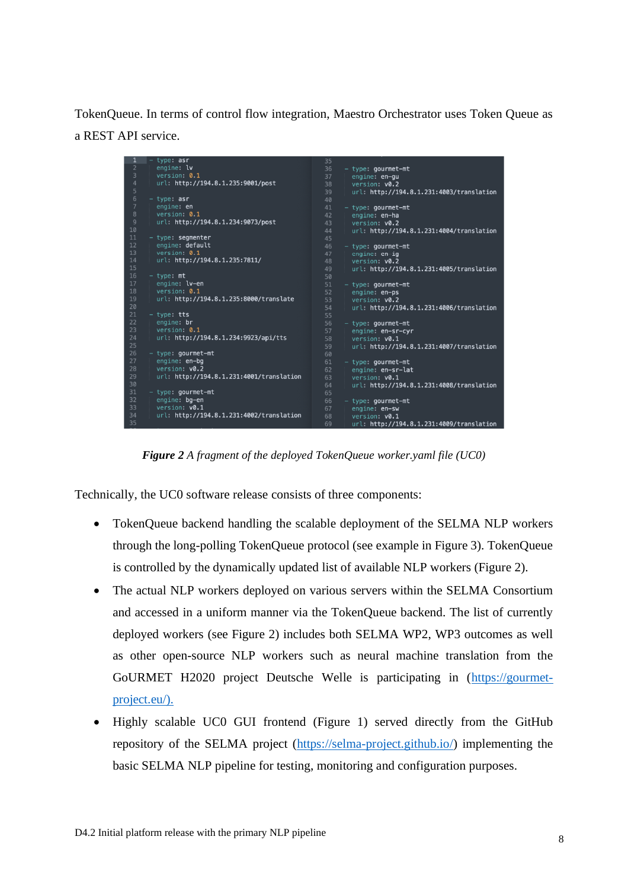TokenQueue. In terms of control flow integration, Maestro Orchestrator uses Token Queue as a REST API service.



*Figure 2 A fragment of the deployed TokenQueue worker.yaml file (UC0)*

<span id="page-7-0"></span>Technically, the UC0 software release consists of three components:

- TokenQueue backend handling the scalable deployment of the SELMA NLP workers through the long-polling TokenQueue protocol (see example in Figure 3). TokenQueue is controlled by the dynamically updated list of available NLP workers (Figure 2).
- The actual NLP workers deployed on various servers within the SELMA Consortium and accessed in a uniform manner via the TokenQueue backend. The list of currently deployed workers (see Figure 2) includes both SELMA WP2, WP3 outcomes as well as other open-source NLP workers such as neural machine translation from the GoURMET H2020 project Deutsche Welle is participating in [\(https://gourmet](https://gourmet-project.eu/).)[project.eu/\).](https://gourmet-project.eu/).)
- Highly scalable UC0 GUI frontend (Figure 1) served directly from the GitHub repository of the SELMA project [\(https://selma-project.github.io/\)](https://selma-project.github.io/) implementing the basic SELMA NLP pipeline for testing, monitoring and configuration purposes.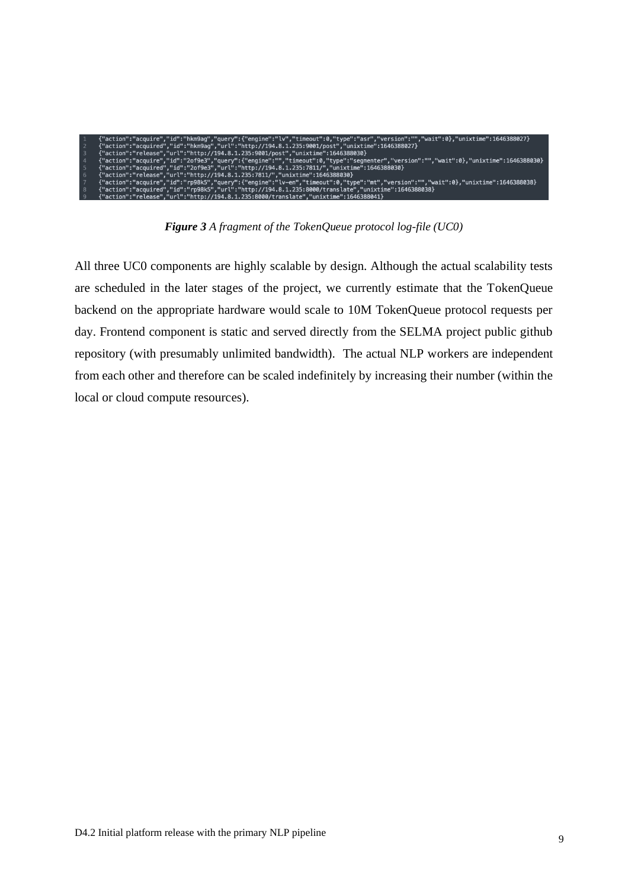| {"action":"acquire","id":"hkm9aq","query":{"enqine":"lv","timeout":0,"type":"asr","version":"","wait":0},"unixtime":1646388027}     |
|-------------------------------------------------------------------------------------------------------------------------------------|
| {"action":"acquired","id":"hkm9aq","url":"http://194.8.1.235:9001/post","unixtime":1646388027}                                      |
| {"action":"release","url":"http://194.8.1.235:9001/post","unixtime":1646388030}                                                     |
| {"action":"acquire","id":"2of9e3","query":{"engine":"","timeout":0,"type":"seqmenter","version":"","wait":0},"unixtime":1646388030} |
| {"action":"acquired","id":"2of9e3","url":"http://194.8.1.235:7811/","unixtime":1646388030}                                          |
| {"action":"release","url":"http://194.8.1.235:7811/","unixtime":1646388030}                                                         |
| {"action":"acquire","id":"rp98k5","query":{"engine":"lv-en","timeout":0,"type":"mt","version":"","wait":0},"unixtime":1646388038}   |
| {"action":"acquired","id":"rp98k5","url":"http://194.8.1.235:8000/translate","unixtime":1646388038}                                 |
| {"action":"release","url":"http://194.8.1.235:8000/translate","unixtime":1646388041}                                                |

*Figure 3 A fragment of the TokenQueue protocol log-file (UC0)*

<span id="page-8-0"></span>All three UC0 components are highly scalable by design. Although the actual scalability tests are scheduled in the later stages of the project, we currently estimate that the TokenQueue backend on the appropriate hardware would scale to 10M TokenQueue protocol requests per day. Frontend component is static and served directly from the SELMA project public github repository (with presumably unlimited bandwidth). The actual NLP workers are independent from each other and therefore can be scaled indefinitely by increasing their number (within the local or cloud compute resources).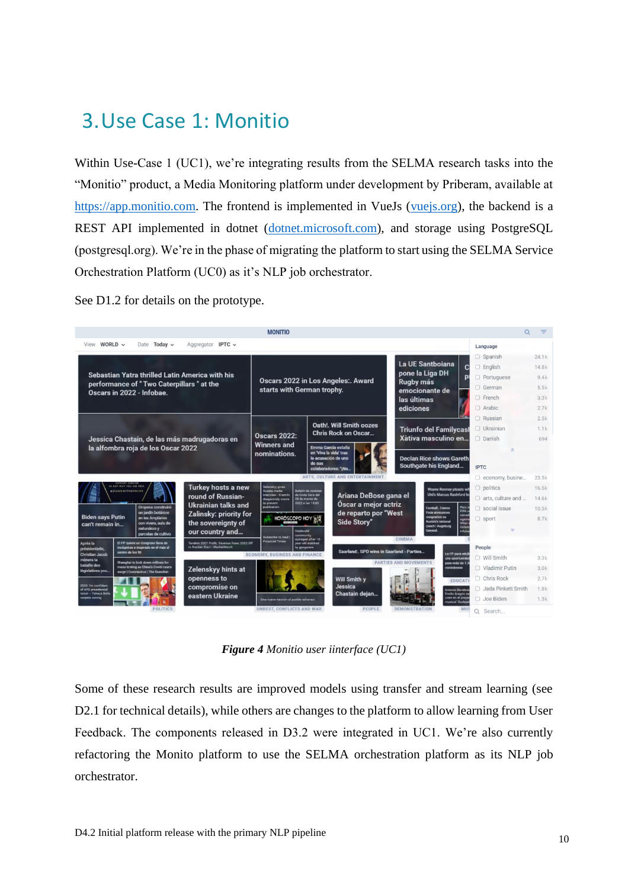## <span id="page-9-0"></span>3.Use Case 1: Monitio

Within Use-Case 1 (UC1), we're integrating results from the SELMA research tasks into the "Monitio" product, a Media Monitoring platform under development by Priberam, available at [https://app.monitio.com.](https://app.monitio.com/) The frontend is implemented in VueJs [\(vuejs.org\)](https://vuejs.org/), the backend is a REST API implemented in dotnet [\(dotnet.microsoft.com\)](http://dotnet.microsoft.com/), and storage using PostgreSQL (postgresql.org). We're in the phase of migrating the platform to start using the SELMA Service Orchestration Platform (UC0) as it's NLP job orchestrator.

See D1.2 for details on the prototype.



*Figure 4 Monitio user iinterface (UC1)*

<span id="page-9-1"></span>Some of these research results are improved models using transfer and stream learning (see D2.1 for technical details), while others are changes to the platform to allow learning from User Feedback. The components released in D3.2 were integrated in UC1. We're also currently refactoring the Monito platform to use the SELMA orchestration platform as its NLP job orchestrator.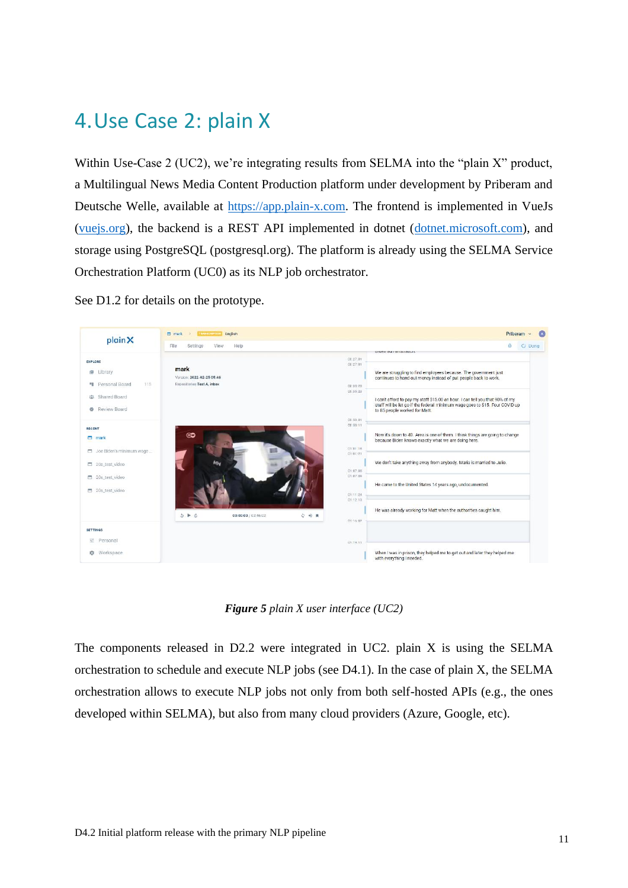### <span id="page-10-0"></span>4.Use Case 2: plain X

Within Use-Case 2 (UC2), we're integrating results from SELMA into the "plain X" product, a Multilingual News Media Content Production platform under development by Priberam and Deutsche Welle, available at [https://app.plain-x.com.](https://app.plain-x.com/) The frontend is implemented in VueJs [\(vuejs.org\)](https://vuejs.org/), the backend is a REST API implemented in dotnet [\(dotnet.microsoft.com\)](http://dotnet.microsoft.com/), and storage using PostgreSQL (postgresql.org). The platform is already using the SELMA Service Orchestration Platform (UC0) as its NLP job orchestrator.

See D1.2 for details on the prototype.

![](_page_10_Picture_3.jpeg)

*Figure 5 plain X user interface (UC2)*

<span id="page-10-1"></span>The components released in D2.2 were integrated in UC2. plain X is using the SELMA orchestration to schedule and execute NLP jobs (see D4.1). In the case of plain X, the SELMA orchestration allows to execute NLP jobs not only from both self-hosted APIs (e.g., the ones developed within SELMA), but also from many cloud providers (Azure, Google, etc).